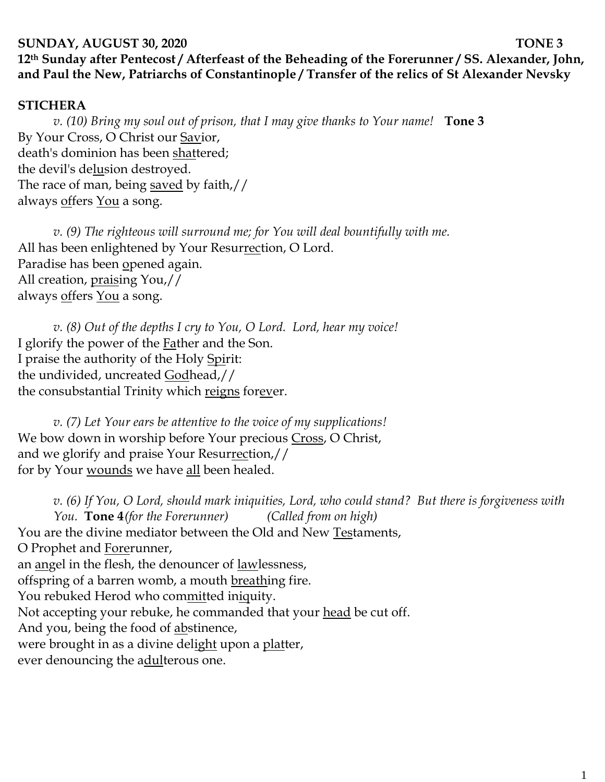# **SUNDAY, AUGUST 30, 2020 TONE 3 12th Sunday after Pentecost / Afterfeast of the Beheading of the Forerunner / SS. Alexander, John, and Paul the New, Patriarchs of Constantinople / Transfer of the relics of St Alexander Nevsky**

#### **STICHERA**

*v. (10) Bring my soul out of prison, that I may give thanks to Your name!* **Tone 3** By Your Cross, O Christ our Savior, death's dominion has been shattered; the devil's delusion destroyed. The race of man, being saved by faith,// always offers You a song.

*v.* (9) The righteous will surround me; for You will deal bountifully with me. All has been enlightened by Your Resur<u>rec</u>tion, O Lord. Paradise has been opened again. All creation, praising You,// always offers You a song.

*v. (8) Out of the depths I cry to You, O Lord. Lord, hear my voice!*  I glorify the power of the Father and the Son. I praise the authority of the Holy Spirit: the undivided, uncreated Godhead,// the consubstantial Trinity which reigns forever.

*v. (7) Let Your ears be attentive to the voice of my supplications!* We bow down in worship before Your precious Cross, O Christ, and we glorify and praise Your Resurrection,// for by Your wounds we have all been healed.

*v. (6) If You, O Lord, should mark iniquities, Lord, who could stand? But there is forgiveness with You.* **Tone 4***(for the Forerunner) (Called from on high)* You are the divine mediator between the Old and New Testaments, O Prophet and Forerunner, an angel in the flesh, the denouncer of lawlessness, offspring of a barren womb, a mouth breathing fire. You rebuked Herod who committed iniquity. Not accepting your rebuke, he commanded that your head be cut off. And you, being the food of abstinence, were brought in as a divine delight upon a platter, ever denouncing the adulterous one.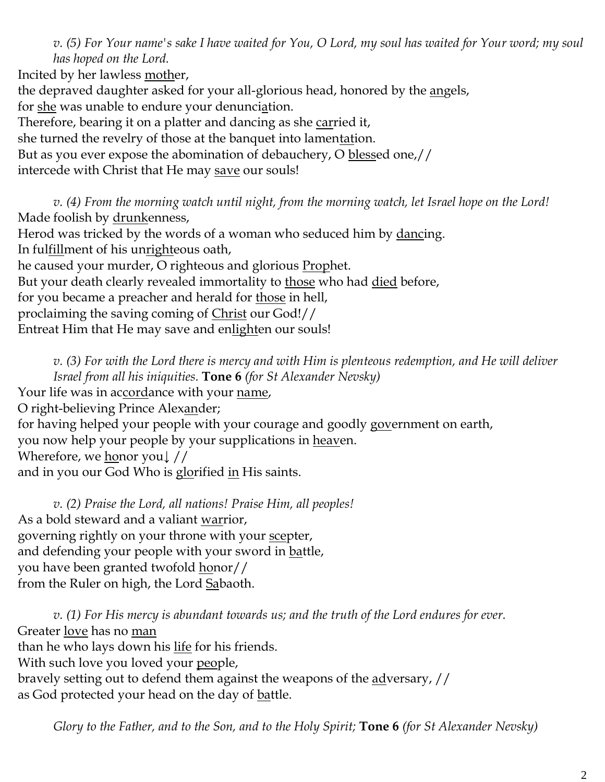*v. (5) For Your name's sake I have waited for You, O Lord, my soul has waited for Your word; my soul has hoped on the Lord.* 

Incited by her lawless mother,

the depraved daughter asked for your all-glorious head, honored by the angels, for she was unable to endure your denunciation.

Therefore, bearing it on a platter and dancing as she carried it,

she turned the revelry of those at the banquet into lamentation.

But as you ever expose the abomination of debauchery, O blessed one,//

intercede with Christ that He may save our souls!

*v. (4) From the morning watch until night, from the morning watch, let Israel hope on the Lord!*  Made foolish by drunkenness, Herod was tricked by the words of a woman who seduced him by dancing.

In fulfillment of his unrighteous oath,

he caused your murder, O righteous and glorious Prophet.

But your death clearly revealed immortality to those who had died before,

for you became a preacher and herald for those in hell,

proclaiming the saving coming of Christ our God!//

Entreat Him that He may save and enlighten our souls!

*v. (3) For with the Lord there is mercy and with Him is plenteous redemption, and He will deliver Israel from all his iniquities.* **Tone 6** *(for St Alexander Nevsky)* Your life was in ac<u>cord</u>ance with your <u>name</u>, O right-believing Prince Alexander; for having helped your people with your courage and goodly government on earth, you now help your people by your supplications in heaven. Wherefore, we honor you↓ // and in you our God Who is glorified in His saints.

*v. (2) Praise the Lord, all nations! Praise Him, all peoples!* As a bold steward and a valiant warrior, governing rightly on your throne with your scepter, and defending your people with your sword in battle, you have been granted twofold honor// from the Ruler on high, the Lord Sabaoth.

*v. (1) For His mercy is abundant towards us; and the truth of the Lord endures for ever.*  Greater love has no man than he who lays down his life for his friends. With such love you loved your people, bravely setting out to defend them against the weapons of the adversary, // as God protected your head on the day of battle.

*Glory to the Father, and to the Son, and to the Holy Spirit;* **Tone 6** *(for St Alexander Nevsky)*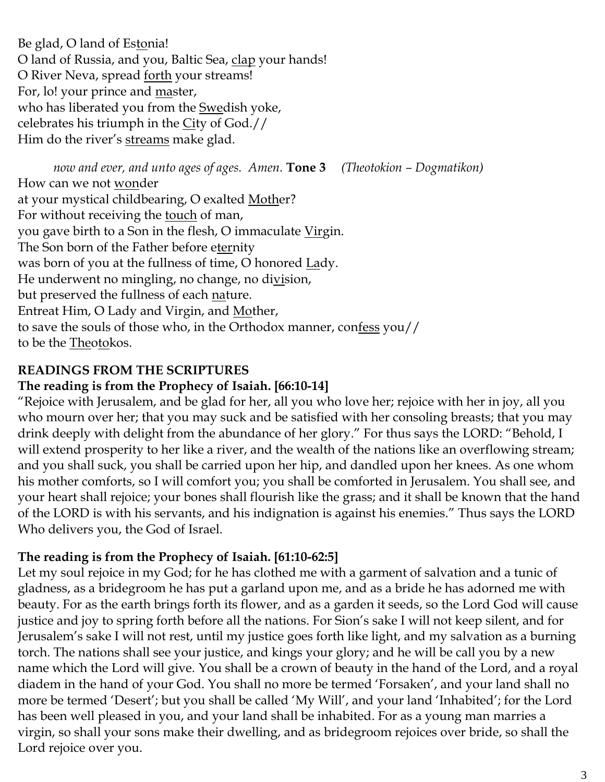Be glad, O land of Estonia! O land of Russia, and you, Baltic Sea, clap your hands! O River Neva, spread <u>forth</u> your streams! For, lo! your prince and master, who has liberated you from the Swedish yoke, celebrates his triumph in the  $City$  of God.// Him do the river's streams make glad.

*now and ever, and unto ages of ages. Amen.* **Tone 3** *(Theotokion – Dogmatikon)* How can we not wonder at your mystical childbearing, O exalted Mother? For without receiving the touch of man, you gave birth to a Son in the flesh, O immaculate Virgin. The Son born of the Father before eternity was born of you at the fullness of time, O honored Lady. He underwent no mingling, no change, no division, but preserved the fullness of each nature. Entreat Him, O Lady and Virgin, and <u>Mo</u>ther, to save the souls of those who, in the Orthodox manner, confess you// to be the Theotokos.

## **READINGS FROM THE SCRIPTURES**

#### **The reading is from the Prophecy of Isaiah. [66:10-14]**

"Rejoice with Jerusalem, and be glad for her, all you who love her; rejoice with her in joy, all you who mourn over her; that you may suck and be satisfied with her consoling breasts; that you may drink deeply with delight from the abundance of her glory." For thus says the LORD: "Behold, I will extend prosperity to her like a river, and the wealth of the nations like an overflowing stream; and you shall suck, you shall be carried upon her hip, and dandled upon her knees. As one whom his mother comforts, so I will comfort you; you shall be comforted in Jerusalem. You shall see, and your heart shall rejoice; your bones shall flourish like the grass; and it shall be known that the hand of the LORD is with his servants, and his indignation is against his enemies." Thus says the LORD Who delivers you, the God of Israel.

## **The reading is from the Prophecy of Isaiah. [61:10-62:5]**

Let my soul rejoice in my God; for he has clothed me with a garment of salvation and a tunic of gladness, as a bridegroom he has put a garland upon me, and as a bride he has adorned me with beauty. For as the earth brings forth its flower, and as a garden it seeds, so the Lord God will cause justice and joy to spring forth before all the nations. For Sion's sake I will not keep silent, and for Jerusalem's sake I will not rest, until my justice goes forth like light, and my salvation as a burning torch. The nations shall see your justice, and kings your glory; and he will be call you by a new name which the Lord will give. You shall be a crown of beauty in the hand of the Lord, and a royal diadem in the hand of your God. You shall no more be termed 'Forsaken', and your land shall no more be termed 'Desert'; but you shall be called 'My Will', and your land 'Inhabited'; for the Lord has been well pleased in you, and your land shall be inhabited. For as a young man marries a virgin, so shall your sons make their dwelling, and as bridegroom rejoices over bride, so shall the Lord rejoice over you.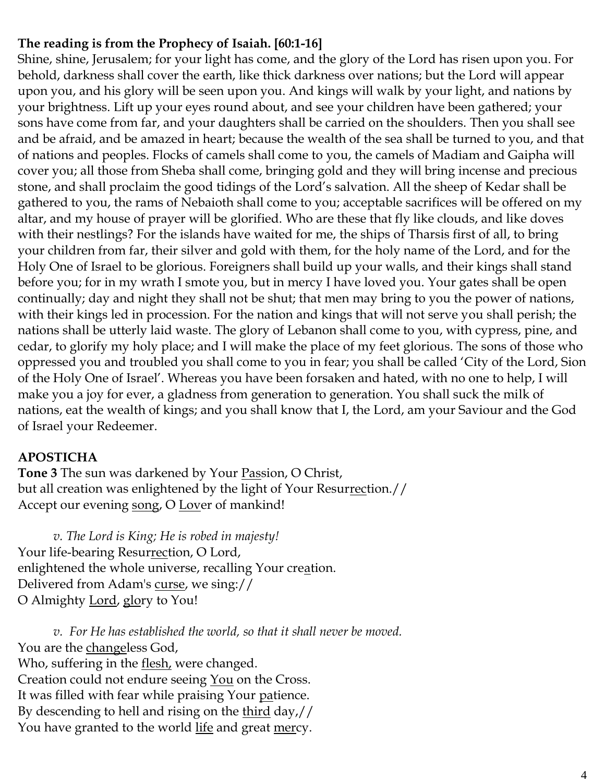#### **The reading is from the Prophecy of Isaiah. [60:1-16]**

Shine, shine, Jerusalem; for your light has come, and the glory of the Lord has risen upon you. For behold, darkness shall cover the earth, like thick darkness over nations; but the Lord will appear upon you, and his glory will be seen upon you. And kings will walk by your light, and nations by your brightness. Lift up your eyes round about, and see your children have been gathered; your sons have come from far, and your daughters shall be carried on the shoulders. Then you shall see and be afraid, and be amazed in heart; because the wealth of the sea shall be turned to you, and that of nations and peoples. Flocks of camels shall come to you, the camels of Madiam and Gaipha will cover you; all those from Sheba shall come, bringing gold and they will bring incense and precious stone, and shall proclaim the good tidings of the Lord's salvation. All the sheep of Kedar shall be gathered to you, the rams of Nebaioth shall come to you; acceptable sacrifices will be offered on my altar, and my house of prayer will be glorified. Who are these that fly like clouds, and like doves with their nestlings? For the islands have waited for me, the ships of Tharsis first of all, to bring your children from far, their silver and gold with them, for the holy name of the Lord, and for the Holy One of Israel to be glorious. Foreigners shall build up your walls, and their kings shall stand before you; for in my wrath I smote you, but in mercy I have loved you. Your gates shall be open continually; day and night they shall not be shut; that men may bring to you the power of nations, with their kings led in procession. For the nation and kings that will not serve you shall perish; the nations shall be utterly laid waste. The glory of Lebanon shall come to you, with cypress, pine, and cedar, to glorify my holy place; and I will make the place of my feet glorious. The sons of those who oppressed you and troubled you shall come to you in fear; you shall be called 'City of the Lord, Sion of the Holy One of Israel'. Whereas you have been forsaken and hated, with no one to help, I will make you a joy for ever, a gladness from generation to generation. You shall suck the milk of nations, eat the wealth of kings; and you shall know that I, the Lord, am your Saviour and the God of Israel your Redeemer.

## **APOSTICHA**

**Tone 3** The sun was darkened by Your Passion, O Christ, but all creation was enlightened by the light of Your Resurrection.// Accept our evening song, O Lover of mankind!

*v. The Lord is King; He is robed in majesty!*  Your life-bearing Resurrection, O Lord, enlightened the whole universe, recalling Your creation. Delivered from Adam's curse, we sing:// O Almighty Lord, glory to You!

*v. For He has established the world, so that it shall never be moved.* You are the changeless God, Who, suffering in the <u>flesh</u>, were changed. Creation could not endure seeing <u>You</u> on the Cross. It was filled with fear while praising Your patience. By descending to hell and rising on the third day,// You have granted to the world life and great mercy.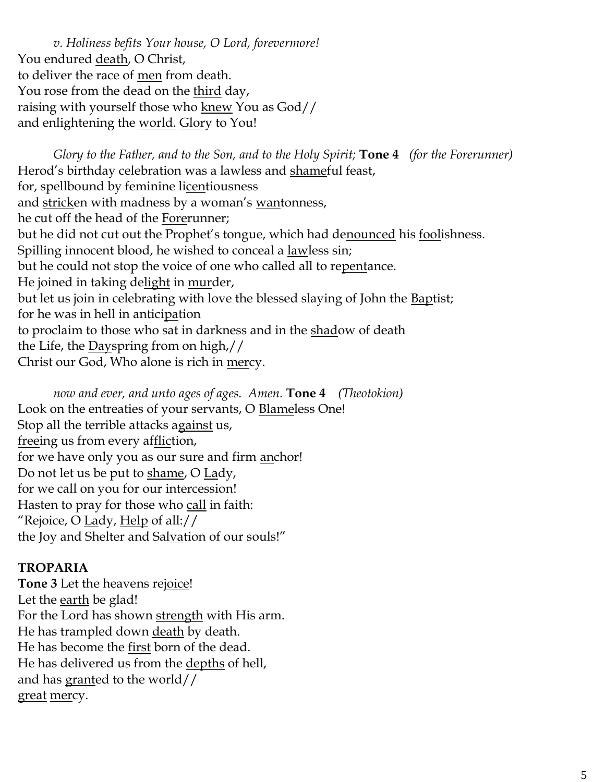*v. Holiness befits Your house, O Lord, forevermore!*  You endured death, O Christ, to deliver the race of <u>men</u> from death. You rose from the dead on the third day, raising with yourself those who knew You as God// and enlightening the <u>world. Glo</u>ry to You!

*Glory to the Father, and to the Son, and to the Holy Spirit;* **Tone 4** *(for the Forerunner)* Herod's birthday celebration was a lawless and shameful feast, for, spellbound by feminine licentiousness and stricken with madness by a woman's wantonness, he cut off the head of the Forerunner; but he did not cut out the Prophet's tongue, which had denounced his foolishness. Spilling innocent blood, he wished to conceal a lawless sin; but he could not stop the voice of one who called all to repentance. He joined in taking delight in murder, but let us join in celebrating with love the blessed slaying of John the Baptist; for he was in hell in anticipation to proclaim to those who sat in darkness and in the shadow of death the Life, the Dayspring from on high,// Christ our God, Who alone is rich in mercy.

*now and ever, and unto ages of ages. Amen.* **Tone 4** *(Theotokion)* Look on the entreaties of your servants, O Blameless One! Stop all the terrible attacks against us, freeing us from every affliction, for we have only you as our sure and firm anchor! Do not let us be put to shame, O Lady, for we call on you for our intercession! Hasten to pray for those who call in faith: "Rejoice, O Lady, Help of all:// the Joy and Shelter and Salvation of our souls!"

## **TROPARIA**

**Tone 3** Let the heavens rejoice! Let the earth be glad! For the Lord has shown strength with His arm. He has trampled down death by death. He has become the first born of the dead. He has delivered us from the depths of hell, and has granted to the world// great mercy.